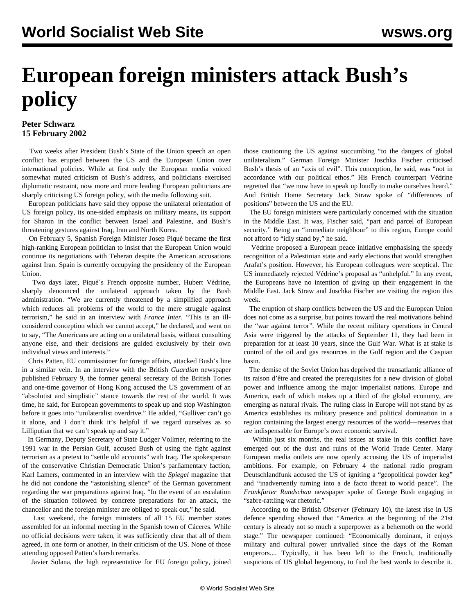## **European foreign ministers attack Bush's policy**

## **Peter Schwarz 15 February 2002**

 Two weeks after President Bush's State of the Union speech an open conflict has erupted between the US and the European Union over international policies. While at first only the European media voiced somewhat muted criticism of Bush's address, and politicians exercised diplomatic restraint, now more and more leading European politicians are sharply criticising US foreign policy, with the media following suit.

 European politicians have said they oppose the unilateral orientation of US foreign policy, its one-sided emphasis on military means, its support for Sharon in the conflict between Israel and Palestine, and Bush's threatening gestures against Iraq, Iran and North Korea.

 On February 5, Spanish Foreign Minister Josep Piqué became the first high-ranking European politician to insist that the European Union would continue its negotiations with Teheran despite the American accusations against Iran. Spain is currently occupying the presidency of the European Union.

 Two days later, Piqué´s French opposite number, Hubert Védrine, sharply denounced the unilateral approach taken by the Bush administration. "We are currently threatened by a simplified approach which reduces all problems of the world to the mere struggle against terrorism," he said in an interview with *France Inter*. "This is an illconsidered conception which we cannot accept," he declared, and went on to say, "The Americans are acting on a unilateral basis, without consulting anyone else, and their decisions are guided exclusively by their own individual views and interests."

 Chris Patten, EU commissioner for foreign affairs, attacked Bush's line in a similar vein. In an interview with the British *Guardian* newspaper published February 9, the former general secretary of the British Tories and one-time governor of Hong Kong accused the US government of an "absolutist and simplistic" stance towards the rest of the world. It was time, he said, for European governments to speak up and stop Washington before it goes into "unilateralist overdrive." He added, "Gulliver can't go it alone, and I don't think it's helpful if we regard ourselves as so Lilliputian that we can't speak up and say it."

 In Germany, Deputy Secretary of State Ludger Vollmer, referring to the 1991 war in the Persian Gulf, accused Bush of using the fight against terrorism as a pretext to "settle old accounts" with Iraq. The spokesperson of the conservative Christian Democratic Union's parliamentary faction, Karl Lamers, commented in an interview with the *Spiegel* magazine that he did not condone the "astonishing silence" of the German government regarding the war preparations against Iraq. "In the event of an escalation of the situation followed by concrete preparations for an attack, the chancellor and the foreign minister are obliged to speak out," he said.

 Last weekend, the foreign ministers of all 15 EU member states assembled for an informal meeting in the Spanish town of Cáceres. While no official decisions were taken, it was sufficiently clear that all of them agreed, in one form or another, in their criticism of the US. None of those attending opposed Patten's harsh remarks.

Javier Solana, the high representative for EU foreign policy, joined

those cautioning the US against succumbing "to the dangers of global unilateralism." German Foreign Minister Joschka Fischer criticised Bush's thesis of an "axis of evil". This conception, he said, was "not in accordance with our political ethos." His French counterpart Védrine regretted that "we now have to speak up loudly to make ourselves heard." And British Home Secretary Jack Straw spoke of "differences of positions" between the US and the EU.

 The EU foreign ministers were particularly concerned with the situation in the Middle East. It was, Fischer said, "part and parcel of European security." Being an "immediate neighbour" to this region, Europe could not afford to "idly stand by," he said.

 Védrine proposed a European peace initiative emphasising the speedy recognition of a Palestinian state and early elections that would strengthen Arafat's position. However, his European colleagues were sceptical. The US immediately rejected Védrine's proposal as "unhelpful." In any event, the Europeans have no intention of giving up their engagement in the Middle East. Jack Straw and Joschka Fischer are visiting the region this week.

 The eruption of sharp conflicts between the US and the European Union does not come as a surprise, but points toward the real motivations behind the "war against terror". While the recent military operations in Central Asia were triggered by the attacks of September 11, they had been in preparation for at least 10 years, since the Gulf War. What is at stake is control of the oil and gas resources in the Gulf region and the Caspian basin.

 The demise of the Soviet Union has deprived the transatlantic alliance of its raison d'être and created the prerequisites for a new division of global power and influence among the major imperialist nations. Europe and America, each of which makes up a third of the global economy, are emerging as natural rivals. The ruling class in Europe will not stand by as America establishes its military presence and political domination in a region containing the largest energy resources of the world—reserves that are indispensable for Europe's own economic survival.

 Within just six months, the real issues at stake in this conflict have emerged out of the dust and ruins of the World Trade Center. Many European media outlets are now openly accusing the US of imperialist ambitions. For example, on February 4 the national radio program Deutschlandfunk accused the US of igniting a "geopolitical powder keg" and "inadvertently turning into a de facto threat to world peace". The *Frankfurter Rundschau* newspaper spoke of George Bush engaging in "sabre-rattling war rhetoric."

 According to the British *Observer* (February 10), the latest rise in US defence spending showed that "America at the beginning of the 21st century is already not so much a superpower as a behemoth on the world stage." The newspaper continued: "Economically dominant, it enjoys military and cultural power unrivalled since the days of the Roman emperors.... Typically, it has been left to the French, traditionally suspicious of US global hegemony, to find the best words to describe it.